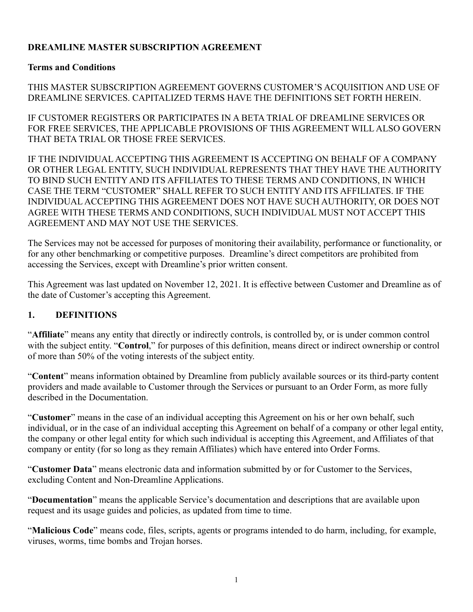# **DREAMLINE MASTER SUBSCRIPTION AGREEMENT**

#### **Terms and Conditions**

THIS MASTER SUBSCRIPTION AGREEMENT GOVERNS CUSTOMER'S ACQUISITION AND USE OF DREAMLINE SERVICES. CAPITALIZED TERMS HAVE THE DEFINITIONS SET FORTH HEREIN.

IF CUSTOMER REGISTERS OR PARTICIPATES IN A BETA TRIAL OF DREAMLINE SERVICES OR FOR FREE SERVICES, THE APPLICABLE PROVISIONS OF THIS AGREEMENT WILL ALSO GOVERN THAT BETA TRIAL OR THOSE FREE SERVICES.

IF THE INDIVIDUAL ACCEPTING THIS AGREEMENT IS ACCEPTING ON BEHALF OF A COMPANY OR OTHER LEGAL ENTITY, SUCH INDIVIDUAL REPRESENTS THAT THEY HAVE THE AUTHORITY TO BIND SUCH ENTITY AND ITS AFFILIATES TO THESE TERMS AND CONDITIONS, IN WHICH CASE THE TERM "CUSTOMER" SHALL REFER TO SUCH ENTITY AND ITS AFFILIATES. IF THE INDIVIDUAL ACCEPTING THIS AGREEMENT DOES NOT HAVE SUCH AUTHORITY, OR DOES NOT AGREE WITH THESE TERMS AND CONDITIONS, SUCH INDIVIDUAL MUST NOT ACCEPT THIS AGREEMENT AND MAY NOT USE THE SERVICES.

The Services may not be accessed for purposes of monitoring their availability, performance or functionality, or for any other benchmarking or competitive purposes. Dreamline's direct competitors are prohibited from accessing the Services, except with Dreamline's prior written consent.

This Agreement was last updated on November 12, 2021. It is effective between Customer and Dreamline as of the date of Customer's accepting this Agreement.

### **1. DEFINITIONS**

"**Affiliate**" means any entity that directly or indirectly controls, is controlled by, or is under common control with the subject entity. "**Control**," for purposes of this definition, means direct or indirect ownership or control of more than 50% of the voting interests of the subject entity.

"**Content**" means information obtained by Dreamline from publicly available sources or its third-party content providers and made available to Customer through the Services or pursuant to an Order Form, as more fully described in the Documentation.

"**Customer**" means in the case of an individual accepting this Agreement on his or her own behalf, such individual, or in the case of an individual accepting this Agreement on behalf of a company or other legal entity, the company or other legal entity for which such individual is accepting this Agreement, and Affiliates of that company or entity (for so long as they remain Affiliates) which have entered into Order Forms.

"**Customer Data**" means electronic data and information submitted by or for Customer to the Services, excluding Content and Non-Dreamline Applications.

"**Documentation**" means the applicable Service's documentation and descriptions that are available upon request and its usage guides and policies, as updated from time to time.

"**Malicious Code**" means code, files, scripts, agents or programs intended to do harm, including, for example, viruses, worms, time bombs and Trojan horses.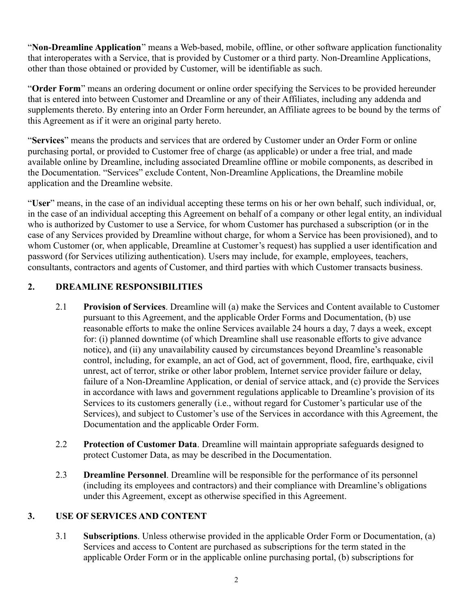"**Non-Dreamline Application**" means a Web-based, mobile, offline, or other software application functionality that interoperates with a Service, that is provided by Customer or a third party. Non-Dreamline Applications, other than those obtained or provided by Customer, will be identifiable as such.

"**Order Form**" means an ordering document or online order specifying the Services to be provided hereunder that is entered into between Customer and Dreamline or any of their Affiliates, including any addenda and supplements thereto. By entering into an Order Form hereunder, an Affiliate agrees to be bound by the terms of this Agreement as if it were an original party hereto.

"**Services**" means the products and services that are ordered by Customer under an Order Form or online purchasing portal, or provided to Customer free of charge (as applicable) or under a free trial, and made available online by Dreamline, including associated Dreamline offline or mobile components, as described in the Documentation. "Services" exclude Content, Non-Dreamline Applications, the Dreamline mobile application and the Dreamline website.

"**User**" means, in the case of an individual accepting these terms on his or her own behalf, such individual, or, in the case of an individual accepting this Agreement on behalf of a company or other legal entity, an individual who is authorized by Customer to use a Service, for whom Customer has purchased a subscription (or in the case of any Services provided by Dreamline without charge, for whom a Service has been provisioned), and to whom Customer (or, when applicable, Dreamline at Customer's request) has supplied a user identification and password (for Services utilizing authentication). Users may include, for example, employees, teachers, consultants, contractors and agents of Customer, and third parties with which Customer transacts business.

# **2. DREAMLINE RESPONSIBILITIES**

- 2.1 **Provision of Services**. Dreamline will (a) make the Services and Content available to Customer pursuant to this Agreement, and the applicable Order Forms and Documentation, (b) use reasonable efforts to make the online Services available 24 hours a day, 7 days a week, except for: (i) planned downtime (of which Dreamline shall use reasonable efforts to give advance notice), and (ii) any unavailability caused by circumstances beyond Dreamline's reasonable control, including, for example, an act of God, act of government, flood, fire, earthquake, civil unrest, act of terror, strike or other labor problem, Internet service provider failure or delay, failure of a Non-Dreamline Application, or denial of service attack, and (c) provide the Services in accordance with laws and government regulations applicable to Dreamline's provision of its Services to its customers generally (i.e., without regard for Customer's particular use of the Services), and subject to Customer's use of the Services in accordance with this Agreement, the Documentation and the applicable Order Form.
- 2.2 **Protection of Customer Data**. Dreamline will maintain appropriate safeguards designed to protect Customer Data, as may be described in the Documentation.
- 2.3 **Dreamline Personnel**. Dreamline will be responsible for the performance of its personnel (including its employees and contractors) and their compliance with Dreamline's obligations under this Agreement, except as otherwise specified in this Agreement.

# **3. USE OF SERVICES AND CONTENT**

3.1 **Subscriptions**. Unless otherwise provided in the applicable Order Form or Documentation, (a) Services and access to Content are purchased as subscriptions for the term stated in the applicable Order Form or in the applicable online purchasing portal, (b) subscriptions for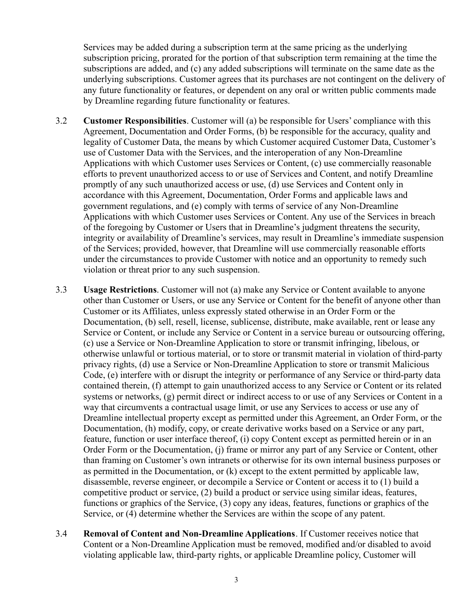Services may be added during a subscription term at the same pricing as the underlying subscription pricing, prorated for the portion of that subscription term remaining at the time the subscriptions are added, and (c) any added subscriptions will terminate on the same date as the underlying subscriptions. Customer agrees that its purchases are not contingent on the delivery of any future functionality or features, or dependent on any oral or written public comments made by Dreamline regarding future functionality or features.

- 3.2 **Customer Responsibilities**. Customer will (a) be responsible for Users' compliance with this Agreement, Documentation and Order Forms, (b) be responsible for the accuracy, quality and legality of Customer Data, the means by which Customer acquired Customer Data, Customer's use of Customer Data with the Services, and the interoperation of any Non-Dreamline Applications with which Customer uses Services or Content, (c) use commercially reasonable efforts to prevent unauthorized access to or use of Services and Content, and notify Dreamline promptly of any such unauthorized access or use, (d) use Services and Content only in accordance with this Agreement, Documentation, Order Forms and applicable laws and government regulations, and (e) comply with terms of service of any Non-Dreamline Applications with which Customer uses Services or Content. Any use of the Services in breach of the foregoing by Customer or Users that in Dreamline's judgment threatens the security, integrity or availability of Dreamline's services, may result in Dreamline's immediate suspension of the Services; provided, however, that Dreamline will use commercially reasonable efforts under the circumstances to provide Customer with notice and an opportunity to remedy such violation or threat prior to any such suspension.
- 3.3 **Usage Restrictions**. Customer will not (a) make any Service or Content available to anyone other than Customer or Users, or use any Service or Content for the benefit of anyone other than Customer or its Affiliates, unless expressly stated otherwise in an Order Form or the Documentation, (b) sell, resell, license, sublicense, distribute, make available, rent or lease any Service or Content, or include any Service or Content in a service bureau or outsourcing offering, (c) use a Service or Non-Dreamline Application to store or transmit infringing, libelous, or otherwise unlawful or tortious material, or to store or transmit material in violation of third-party privacy rights, (d) use a Service or Non-Dreamline Application to store or transmit Malicious Code, (e) interfere with or disrupt the integrity or performance of any Service or third-party data contained therein, (f) attempt to gain unauthorized access to any Service or Content or its related systems or networks, (g) permit direct or indirect access to or use of any Services or Content in a way that circumvents a contractual usage limit, or use any Services to access or use any of Dreamline intellectual property except as permitted under this Agreement, an Order Form, or the Documentation, (h) modify, copy, or create derivative works based on a Service or any part, feature, function or user interface thereof, (i) copy Content except as permitted herein or in an Order Form or the Documentation, (j) frame or mirror any part of any Service or Content, other than framing on Customer's own intranets or otherwise for its own internal business purposes or as permitted in the Documentation, or (k) except to the extent permitted by applicable law, disassemble, reverse engineer, or decompile a Service or Content or access it to (1) build a competitive product or service, (2) build a product or service using similar ideas, features, functions or graphics of the Service, (3) copy any ideas, features, functions or graphics of the Service, or (4) determine whether the Services are within the scope of any patent.
- 3.4 **Removal of Content and Non-Dreamline Applications**. If Customer receives notice that Content or a Non-Dreamline Application must be removed, modified and/or disabled to avoid violating applicable law, third-party rights, or applicable Dreamline policy, Customer will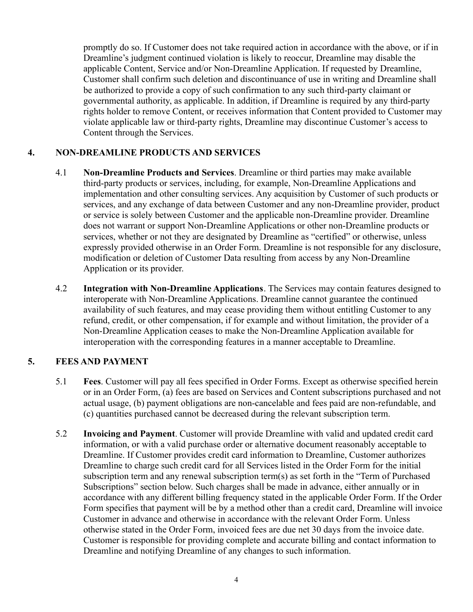promptly do so. If Customer does not take required action in accordance with the above, or if in Dreamline's judgment continued violation is likely to reoccur, Dreamline may disable the applicable Content, Service and/or Non-Dreamline Application. If requested by Dreamline, Customer shall confirm such deletion and discontinuance of use in writing and Dreamline shall be authorized to provide a copy of such confirmation to any such third-party claimant or governmental authority, as applicable. In addition, if Dreamline is required by any third-party rights holder to remove Content, or receives information that Content provided to Customer may violate applicable law or third-party rights, Dreamline may discontinue Customer's access to Content through the Services.

### **4. NON-DREAMLINE PRODUCTS AND SERVICES**

- 4.1 **Non-Dreamline Products and Services**. Dreamline or third parties may make available third-party products or services, including, for example, Non-Dreamline Applications and implementation and other consulting services. Any acquisition by Customer of such products or services, and any exchange of data between Customer and any non-Dreamline provider, product or service is solely between Customer and the applicable non-Dreamline provider. Dreamline does not warrant or support Non-Dreamline Applications or other non-Dreamline products or services, whether or not they are designated by Dreamline as "certified" or otherwise, unless expressly provided otherwise in an Order Form. Dreamline is not responsible for any disclosure, modification or deletion of Customer Data resulting from access by any Non-Dreamline Application or its provider.
- 4.2 **Integration with Non-Dreamline Applications**. The Services may contain features designed to interoperate with Non-Dreamline Applications. Dreamline cannot guarantee the continued availability of such features, and may cease providing them without entitling Customer to any refund, credit, or other compensation, if for example and without limitation, the provider of a Non-Dreamline Application ceases to make the Non-Dreamline Application available for interoperation with the corresponding features in a manner acceptable to Dreamline.

### **5. FEES AND PAYMENT**

- 5.1 **Fees**. Customer will pay all fees specified in Order Forms. Except as otherwise specified herein or in an Order Form, (a) fees are based on Services and Content subscriptions purchased and not actual usage, (b) payment obligations are non-cancelable and fees paid are non-refundable, and (c) quantities purchased cannot be decreased during the relevant subscription term.
- 5.2 **Invoicing and Payment**. Customer will provide Dreamline with valid and updated credit card information, or with a valid purchase order or alternative document reasonably acceptable to Dreamline. If Customer provides credit card information to Dreamline, Customer authorizes Dreamline to charge such credit card for all Services listed in the Order Form for the initial subscription term and any renewal subscription term(s) as set forth in the "Term of Purchased Subscriptions" section below. Such charges shall be made in advance, either annually or in accordance with any different billing frequency stated in the applicable Order Form. If the Order Form specifies that payment will be by a method other than a credit card, Dreamline will invoice Customer in advance and otherwise in accordance with the relevant Order Form. Unless otherwise stated in the Order Form, invoiced fees are due net 30 days from the invoice date. Customer is responsible for providing complete and accurate billing and contact information to Dreamline and notifying Dreamline of any changes to such information.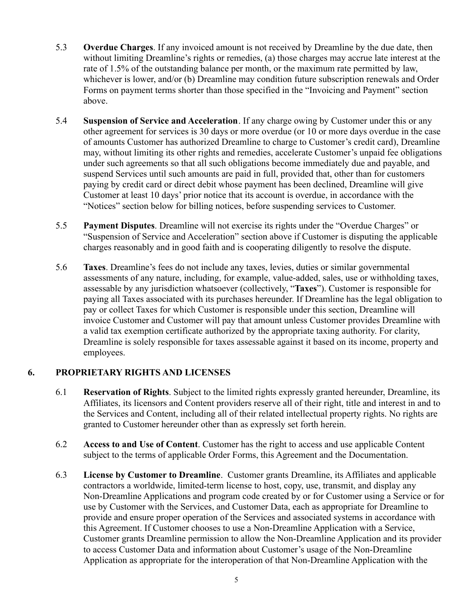- 5.3 **Overdue Charges**. If any invoiced amount is not received by Dreamline by the due date, then without limiting Dreamline's rights or remedies, (a) those charges may accrue late interest at the rate of 1.5% of the outstanding balance per month, or the maximum rate permitted by law, whichever is lower, and/or (b) Dreamline may condition future subscription renewals and Order Forms on payment terms shorter than those specified in the "Invoicing and Payment" section above.
- 5.4 **Suspension of Service and Acceleration**. If any charge owing by Customer under this or any other agreement for services is 30 days or more overdue (or 10 or more days overdue in the case of amounts Customer has authorized Dreamline to charge to Customer's credit card), Dreamline may, without limiting its other rights and remedies, accelerate Customer's unpaid fee obligations under such agreements so that all such obligations become immediately due and payable, and suspend Services until such amounts are paid in full, provided that, other than for customers paying by credit card or direct debit whose payment has been declined, Dreamline will give Customer at least 10 days' prior notice that its account is overdue, in accordance with the "Notices" section below for billing notices, before suspending services to Customer.
- 5.5 **Payment Disputes**. Dreamline will not exercise its rights under the "Overdue Charges" or "Suspension of Service and Acceleration" section above if Customer is disputing the applicable charges reasonably and in good faith and is cooperating diligently to resolve the dispute.
- 5.6 **Taxes**. Dreamline's fees do not include any taxes, levies, duties or similar governmental assessments of any nature, including, for example, value-added, sales, use or withholding taxes, assessable by any jurisdiction whatsoever (collectively, "**Taxes**"). Customer is responsible for paying all Taxes associated with its purchases hereunder. If Dreamline has the legal obligation to pay or collect Taxes for which Customer is responsible under this section, Dreamline will invoice Customer and Customer will pay that amount unless Customer provides Dreamline with a valid tax exemption certificate authorized by the appropriate taxing authority. For clarity, Dreamline is solely responsible for taxes assessable against it based on its income, property and employees.

### **6. PROPRIETARY RIGHTS AND LICENSES**

- 6.1 **Reservation of Rights**. Subject to the limited rights expressly granted hereunder, Dreamline, its Affiliates, its licensors and Content providers reserve all of their right, title and interest in and to the Services and Content, including all of their related intellectual property rights. No rights are granted to Customer hereunder other than as expressly set forth herein.
- 6.2 **Access to and Use of Content**. Customer has the right to access and use applicable Content subject to the terms of applicable Order Forms, this Agreement and the Documentation.
- 6.3 **License by Customer to Dreamline**. Customer grants Dreamline, its Affiliates and applicable contractors a worldwide, limited-term license to host, copy, use, transmit, and display any Non-Dreamline Applications and program code created by or for Customer using a Service or for use by Customer with the Services, and Customer Data, each as appropriate for Dreamline to provide and ensure proper operation of the Services and associated systems in accordance with this Agreement. If Customer chooses to use a Non-Dreamline Application with a Service, Customer grants Dreamline permission to allow the Non-Dreamline Application and its provider to access Customer Data and information about Customer's usage of the Non-Dreamline Application as appropriate for the interoperation of that Non-Dreamline Application with the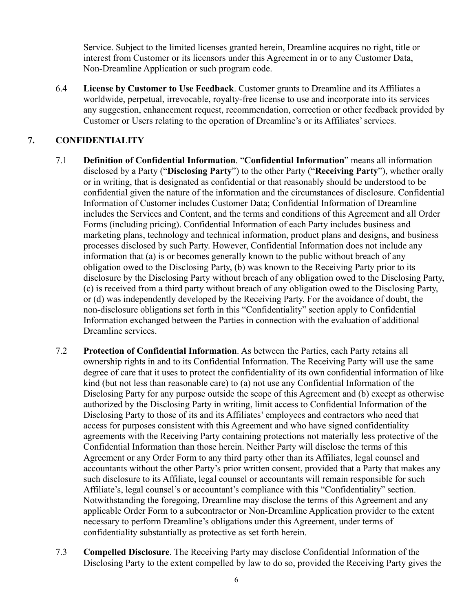Service. Subject to the limited licenses granted herein, Dreamline acquires no right, title or interest from Customer or its licensors under this Agreement in or to any Customer Data, Non-Dreamline Application or such program code.

6.4 **License by Customer to Use Feedback**. Customer grants to Dreamline and its Affiliates a worldwide, perpetual, irrevocable, royalty-free license to use and incorporate into its services any suggestion, enhancement request, recommendation, correction or other feedback provided by Customer or Users relating to the operation of Dreamline's or its Affiliates' services.

# **7. CONFIDENTIALITY**

- 7.1 **Definition of Confidential Information**. "**Confidential Information**" means all information disclosed by a Party ("**Disclosing Party**") to the other Party ("**Receiving Party**"), whether orally or in writing, that is designated as confidential or that reasonably should be understood to be confidential given the nature of the information and the circumstances of disclosure. Confidential Information of Customer includes Customer Data; Confidential Information of Dreamline includes the Services and Content, and the terms and conditions of this Agreement and all Order Forms (including pricing). Confidential Information of each Party includes business and marketing plans, technology and technical information, product plans and designs, and business processes disclosed by such Party. However, Confidential Information does not include any information that (a) is or becomes generally known to the public without breach of any obligation owed to the Disclosing Party, (b) was known to the Receiving Party prior to its disclosure by the Disclosing Party without breach of any obligation owed to the Disclosing Party, (c) is received from a third party without breach of any obligation owed to the Disclosing Party, or (d) was independently developed by the Receiving Party. For the avoidance of doubt, the non-disclosure obligations set forth in this "Confidentiality" section apply to Confidential Information exchanged between the Parties in connection with the evaluation of additional Dreamline services.
- 7.2 **Protection of Confidential Information**. As between the Parties, each Party retains all ownership rights in and to its Confidential Information. The Receiving Party will use the same degree of care that it uses to protect the confidentiality of its own confidential information of like kind (but not less than reasonable care) to (a) not use any Confidential Information of the Disclosing Party for any purpose outside the scope of this Agreement and (b) except as otherwise authorized by the Disclosing Party in writing, limit access to Confidential Information of the Disclosing Party to those of its and its Affiliates' employees and contractors who need that access for purposes consistent with this Agreement and who have signed confidentiality agreements with the Receiving Party containing protections not materially less protective of the Confidential Information than those herein. Neither Party will disclose the terms of this Agreement or any Order Form to any third party other than its Affiliates, legal counsel and accountants without the other Party's prior written consent, provided that a Party that makes any such disclosure to its Affiliate, legal counsel or accountants will remain responsible for such Affiliate's, legal counsel's or accountant's compliance with this "Confidentiality" section. Notwithstanding the foregoing, Dreamline may disclose the terms of this Agreement and any applicable Order Form to a subcontractor or Non-Dreamline Application provider to the extent necessary to perform Dreamline's obligations under this Agreement, under terms of confidentiality substantially as protective as set forth herein.
- 7.3 **Compelled Disclosure**. The Receiving Party may disclose Confidential Information of the Disclosing Party to the extent compelled by law to do so, provided the Receiving Party gives the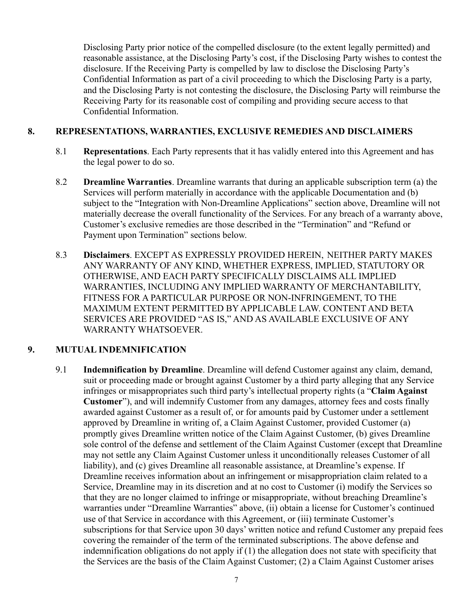Disclosing Party prior notice of the compelled disclosure (to the extent legally permitted) and reasonable assistance, at the Disclosing Party's cost, if the Disclosing Party wishes to contest the disclosure. If the Receiving Party is compelled by law to disclose the Disclosing Party's Confidential Information as part of a civil proceeding to which the Disclosing Party is a party, and the Disclosing Party is not contesting the disclosure, the Disclosing Party will reimburse the Receiving Party for its reasonable cost of compiling and providing secure access to that Confidential Information.

#### **8. REPRESENTATIONS, WARRANTIES, EXCLUSIVE REMEDIES AND DISCLAIMERS**

- 8.1 **Representations**. Each Party represents that it has validly entered into this Agreement and has the legal power to do so.
- 8.2 **Dreamline Warranties**. Dreamline warrants that during an applicable subscription term (a) the Services will perform materially in accordance with the applicable Documentation and (b) subject to the "Integration with Non-Dreamline Applications" section above, Dreamline will not materially decrease the overall functionality of the Services. For any breach of a warranty above, Customer's exclusive remedies are those described in the "Termination" and "Refund or Payment upon Termination" sections below.
- 8.3 **Disclaimers**. EXCEPT AS EXPRESSLY PROVIDED HEREIN, NEITHER PARTY MAKES ANY WARRANTY OF ANY KIND, WHETHER EXPRESS, IMPLIED, STATUTORY OR OTHERWISE, AND EACH PARTY SPECIFICALLY DISCLAIMS ALL IMPLIED WARRANTIES, INCLUDING ANY IMPLIED WARRANTY OF MERCHANTABILITY, FITNESS FOR A PARTICULAR PURPOSE OR NON-INFRINGEMENT, TO THE MAXIMUM EXTENT PERMITTED BY APPLICABLE LAW. CONTENT AND BETA SERVICES ARE PROVIDED "AS IS," AND AS AVAILABLE EXCLUSIVE OF ANY WARRANTY WHATSOEVER.

### **9. MUTUAL INDEMNIFICATION**

9.1 **Indemnification by Dreamline**. Dreamline will defend Customer against any claim, demand, suit or proceeding made or brought against Customer by a third party alleging that any Service infringes or misappropriates such third party's intellectual property rights (a "**Claim Against Customer**"), and will indemnify Customer from any damages, attorney fees and costs finally awarded against Customer as a result of, or for amounts paid by Customer under a settlement approved by Dreamline in writing of, a Claim Against Customer, provided Customer (a) promptly gives Dreamline written notice of the Claim Against Customer, (b) gives Dreamline sole control of the defense and settlement of the Claim Against Customer (except that Dreamline may not settle any Claim Against Customer unless it unconditionally releases Customer of all liability), and (c) gives Dreamline all reasonable assistance, at Dreamline's expense. If Dreamline receives information about an infringement or misappropriation claim related to a Service, Dreamline may in its discretion and at no cost to Customer (i) modify the Services so that they are no longer claimed to infringe or misappropriate, without breaching Dreamline's warranties under "Dreamline Warranties" above, (ii) obtain a license for Customer's continued use of that Service in accordance with this Agreement, or (iii) terminate Customer's subscriptions for that Service upon 30 days' written notice and refund Customer any prepaid fees covering the remainder of the term of the terminated subscriptions. The above defense and indemnification obligations do not apply if (1) the allegation does not state with specificity that the Services are the basis of the Claim Against Customer; (2) a Claim Against Customer arises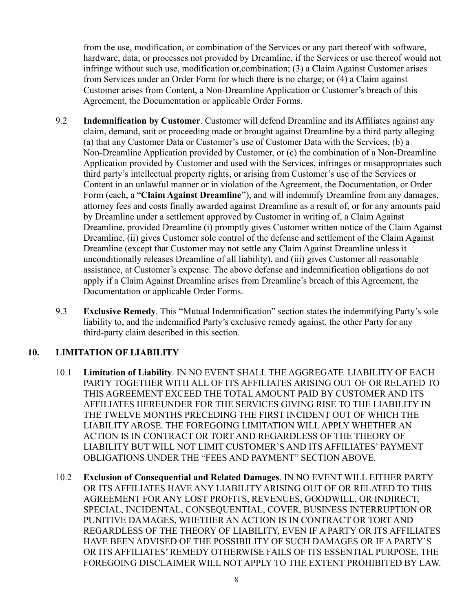from the use, modification, or combination of the Services or any part thereof with software, hardware, data, or processes not provided by Dreamline, if the Services or use thereof would not infringe without such use, modification or,combination; (3) a Claim Against Customer arises from Services under an Order Form for which there is no charge; or (4) a Claim against Customer arises from Content, a Non-Dreamline Application or Customer's breach of this Agreement, the Documentation or applicable Order Forms.

- 9.2 **Indemnification by Customer**. Customer will defend Dreamline and its Affiliates against any claim, demand, suit or proceeding made or brought against Dreamline by a third party alleging (a) that any Customer Data or Customer's use of Customer Data with the Services, (b) a Non-Dreamline Application provided by Customer, or (c) the combination of a Non-Dreamline Application provided by Customer and used with the Services, infringes or misappropriates such third party's intellectual property rights, or arising from Customer's use of the Services or Content in an unlawful manner or in violation of the Agreement, the Documentation, or Order Form (each, a "**Claim Against Dreamline**"), and will indemnify Dreamline from any damages, attorney fees and costs finally awarded against Dreamline as a result of, or for any amounts paid by Dreamline under a settlement approved by Customer in writing of, a Claim Against Dreamline, provided Dreamline (i) promptly gives Customer written notice of the Claim Against Dreamline, (ii) gives Customer sole control of the defense and settlement of the Claim Against Dreamline (except that Customer may not settle any Claim Against Dreamline unless it unconditionally releases Dreamline of all liability), and (iii) gives Customer all reasonable assistance, at Customer's expense. The above defense and indemnification obligations do not apply if a Claim Against Dreamline arises from Dreamline's breach of this Agreement, the Documentation or applicable Order Forms.
- 9.3 **Exclusive Remedy**. This "Mutual Indemnification" section states the indemnifying Party's sole liability to, and the indemnified Party's exclusive remedy against, the other Party for any third-party claim described in this section.

# **10. LIMITATION OF LIABILITY**

- 10.1 **Limitation of Liability**. IN NO EVENT SHALL THE AGGREGATE LIABILITY OF EACH PARTY TOGETHER WITH ALL OF ITS AFFILIATES ARISING OUT OF OR RELATED TO THIS AGREEMENT EXCEED THE TOTAL AMOUNT PAID BY CUSTOMER AND ITS AFFILIATES HEREUNDER FOR THE SERVICES GIVING RISE TO THE LIABILITY IN THE TWELVE MONTHS PRECEDING THE FIRST INCIDENT OUT OF WHICH THE LIABILITY AROSE. THE FOREGOING LIMITATION WILL APPLY WHETHER AN ACTION IS IN CONTRACT OR TORT AND REGARDLESS OF THE THEORY OF LIABILITY BUT WILL NOT LIMIT CUSTOMER'S AND ITS AFFILIATES' PAYMENT OBLIGATIONS UNDER THE "FEES AND PAYMENT" SECTION ABOVE.
- 10.2 **Exclusion of Consequential and Related Damages**. IN NO EVENT WILL EITHER PARTY OR ITS AFFILIATES HAVE ANY LIABILITY ARISING OUT OF OR RELATED TO THIS AGREEMENT FOR ANY LOST PROFITS, REVENUES, GOODWILL, OR INDIRECT, SPECIAL, INCIDENTAL, CONSEQUENTIAL, COVER, BUSINESS INTERRUPTION OR PUNITIVE DAMAGES, WHETHER AN ACTION IS IN CONTRACT OR TORT AND REGARDLESS OF THE THEORY OF LIABILITY, EVEN IF A PARTY OR ITS AFFILIATES HAVE BEEN ADVISED OF THE POSSIBILITY OF SUCH DAMAGES OR IF A PARTY'S OR ITS AFFILIATES' REMEDY OTHERWISE FAILS OF ITS ESSENTIAL PURPOSE. THE FOREGOING DISCLAIMER WILL NOT APPLY TO THE EXTENT PROHIBITED BY LAW.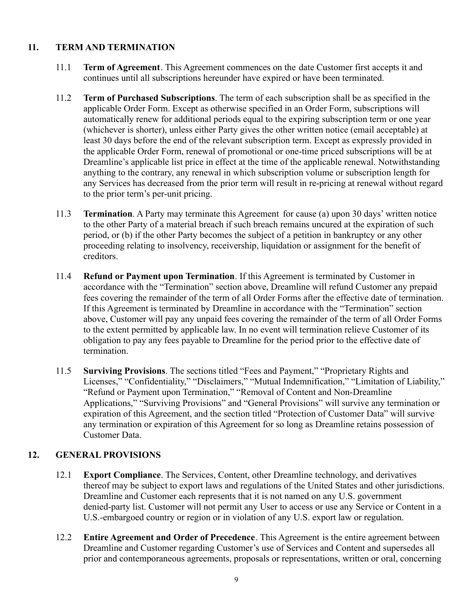## **11. TERM AND TERMINATION**

- 11.1 **Term of Agreement**. This Agreement commences on the date Customer first accepts it and continues until all subscriptions hereunder have expired or have been terminated.
- 11.2 **Term of Purchased Subscriptions**. The term of each subscription shall be as specified in the applicable Order Form. Except as otherwise specified in an Order Form, subscriptions will automatically renew for additional periods equal to the expiring subscription term or one year (whichever is shorter), unless either Party gives the other written notice (email acceptable) at least 30 days before the end of the relevant subscription term. Except as expressly provided in the applicable Order Form, renewal of promotional or one-time priced subscriptions will be at Dreamline's applicable list price in effect at the time of the applicable renewal. Notwithstanding anything to the contrary, any renewal in which subscription volume or subscription length for any Services has decreased from the prior term will result in re-pricing at renewal without regard to the prior term's per-unit pricing.
- 11.3 **Termination**. A Party may terminate this Agreement for cause (a) upon 30 days' written notice to the other Party of a material breach if such breach remains uncured at the expiration of such period, or (b) if the other Party becomes the subject of a petition in bankruptcy or any other proceeding relating to insolvency, receivership, liquidation or assignment for the benefit of creditors.
- 11.4 **Refund or Payment upon Termination**. If this Agreement is terminated by Customer in accordance with the "Termination" section above, Dreamline will refund Customer any prepaid fees covering the remainder of the term of all Order Forms after the effective date of termination. If this Agreement is terminated by Dreamline in accordance with the "Termination" section above, Customer will pay any unpaid fees covering the remainder of the term of all Order Forms to the extent permitted by applicable law. In no event will termination relieve Customer of its obligation to pay any fees payable to Dreamline for the period prior to the effective date of termination.
- 11.5 **Surviving Provisions**. The sections titled "Fees and Payment," "Proprietary Rights and Licenses," "Confidentiality," "Disclaimers," "Mutual Indemnification," "Limitation of Liability," "Refund or Payment upon Termination," "Removal of Content and Non-Dreamline Applications," "Surviving Provisions" and "General Provisions" will survive any termination or expiration of this Agreement, and the section titled "Protection of Customer Data" will survive any termination or expiration of this Agreement for so long as Dreamline retains possession of Customer Data.

# **12. GENERAL PROVISIONS**

- 12.1 **Export Compliance**. The Services, Content, other Dreamline technology, and derivatives thereof may be subject to export laws and regulations of the United States and other jurisdictions. Dreamline and Customer each represents that it is not named on any U.S. government denied-party list. Customer will not permit any User to access or use any Service or Content in a U.S.-embargoed country or region or in violation of any U.S. export law or regulation.
- 12.2 **Entire Agreement and Order of Precedence**. This Agreement is the entire agreement between Dreamline and Customer regarding Customer's use of Services and Content and supersedes all prior and contemporaneous agreements, proposals or representations, written or oral, concerning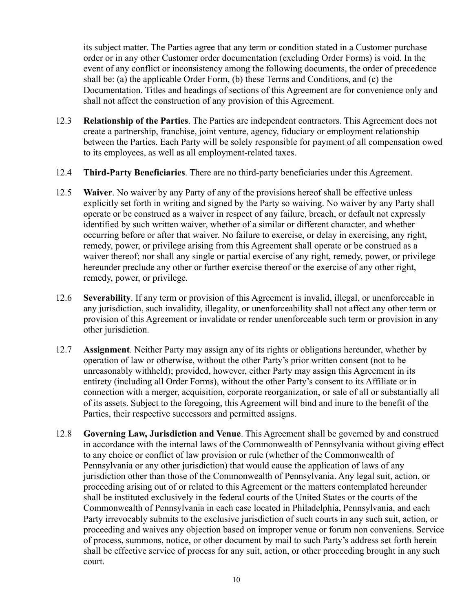its subject matter. The Parties agree that any term or condition stated in a Customer purchase order or in any other Customer order documentation (excluding Order Forms) is void. In the event of any conflict or inconsistency among the following documents, the order of precedence shall be: (a) the applicable Order Form, (b) these Terms and Conditions, and (c) the Documentation. Titles and headings of sections of this Agreement are for convenience only and shall not affect the construction of any provision of this Agreement.

- 12.3 **Relationship of the Parties**. The Parties are independent contractors. This Agreement does not create a partnership, franchise, joint venture, agency, fiduciary or employment relationship between the Parties. Each Party will be solely responsible for payment of all compensation owed to its employees, as well as all employment-related taxes.
- 12.4 **Third-Party Beneficiaries**. There are no third-party beneficiaries under this Agreement.
- 12.5 **Waiver**. No waiver by any Party of any of the provisions hereof shall be effective unless explicitly set forth in writing and signed by the Party so waiving. No waiver by any Party shall operate or be construed as a waiver in respect of any failure, breach, or default not expressly identified by such written waiver, whether of a similar or different character, and whether occurring before or after that waiver. No failure to exercise, or delay in exercising, any right, remedy, power, or privilege arising from this Agreement shall operate or be construed as a waiver thereof; nor shall any single or partial exercise of any right, remedy, power, or privilege hereunder preclude any other or further exercise thereof or the exercise of any other right, remedy, power, or privilege.
- 12.6 **Severability**. If any term or provision of this Agreement is invalid, illegal, or unenforceable in any jurisdiction, such invalidity, illegality, or unenforceability shall not affect any other term or provision of this Agreement or invalidate or render unenforceable such term or provision in any other jurisdiction.
- 12.7 **Assignment**. Neither Party may assign any of its rights or obligations hereunder, whether by operation of law or otherwise, without the other Party's prior written consent (not to be unreasonably withheld); provided, however, either Party may assign this Agreement in its entirety (including all Order Forms), without the other Party's consent to its Affiliate or in connection with a merger, acquisition, corporate reorganization, or sale of all or substantially all of its assets. Subject to the foregoing, this Agreement will bind and inure to the benefit of the Parties, their respective successors and permitted assigns.
- 12.8 **Governing Law, Jurisdiction and Venue**. This Agreement shall be governed by and construed in accordance with the internal laws of the Commonwealth of Pennsylvania without giving effect to any choice or conflict of law provision or rule (whether of the Commonwealth of Pennsylvania or any other jurisdiction) that would cause the application of laws of any jurisdiction other than those of the Commonwealth of Pennsylvania. Any legal suit, action, or proceeding arising out of or related to this Agreement or the matters contemplated hereunder shall be instituted exclusively in the federal courts of the United States or the courts of the Commonwealth of Pennsylvania in each case located in Philadelphia, Pennsylvania, and each Party irrevocably submits to the exclusive jurisdiction of such courts in any such suit, action, or proceeding and waives any objection based on improper venue or forum non conveniens. Service of process, summons, notice, or other document by mail to such Party's address set forth herein shall be effective service of process for any suit, action, or other proceeding brought in any such court.